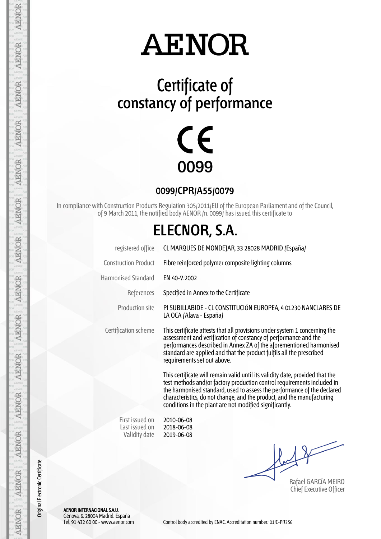### **Certificate of constancy of performance**



#### **0099/CPR/A55/0079**

In compliance with Construction Products Regulation 305/2011/EU of the European Parliament and of the Council, of 9 March 2011, the notified body AENOR (n. 0099) has issued this certificate to

### **ELECNOR, S.A.**

| CL MARQUES DE MONDEJAR, 33 28028 MADRID (España)                                                                                                                                                                                                                                                                                                                         |  |  |  |  |  |  |  |
|--------------------------------------------------------------------------------------------------------------------------------------------------------------------------------------------------------------------------------------------------------------------------------------------------------------------------------------------------------------------------|--|--|--|--|--|--|--|
| Fibre reinforced polymer composite lighting columns                                                                                                                                                                                                                                                                                                                      |  |  |  |  |  |  |  |
| EN 40-7:2002                                                                                                                                                                                                                                                                                                                                                             |  |  |  |  |  |  |  |
| Specified in Annex to the Certificate                                                                                                                                                                                                                                                                                                                                    |  |  |  |  |  |  |  |
| PI SUBILLABIDE - CL CONSTITUCIÓN EUROPEA, 4 01230 NANCLARES DE<br>LA OCA (Alava - España)                                                                                                                                                                                                                                                                                |  |  |  |  |  |  |  |
| This certificate attests that all provisions under system 1 concerning the<br>assessment and verification of constancy of performance and the<br>performances described in Annex ZA of the aforementioned harmonised<br>standard are applied and that the product fulfils all the prescribed<br>requirements set out above.                                              |  |  |  |  |  |  |  |
| This certificate will remain valid until its validity date, provided that the<br>test methods and/or factory production control requirements included in<br>the harmonised standard, used to assess the performance of the declared<br>characteristics, do not change, and the product, and the manufacturing<br>conditions in the plant are not modified significantly. |  |  |  |  |  |  |  |
|                                                                                                                                                                                                                                                                                                                                                                          |  |  |  |  |  |  |  |

First issued on Last issued on Validity date

2010-06-08 2018-06-08 2019-06-08

Rafael GARCÍA MEIRO Chief Executive Officer

AENOR INTERNACIONAL S.A.U. Génova, 6. 28004 Madrid. España

AENOR

**AENOR** 

AENOR

**AENOR** 

**AENOR** 

**AENOR** 

AENOR

**AENOR** 

**AENOR** 

AENOR

**AENOR** 

AENOR

**AENOR** 

**AENOR** 

Original Electronic Certificate

Original Electronic Certificate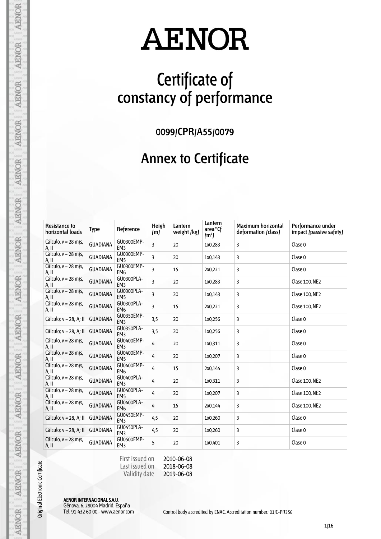## **Certificate of constancy of performance**

**0099/CPR/A55/0079**

#### **Annex to Certificate**

| <b>Resistance to</b><br>horizontal loads | <b>Type</b>     | Reference                     | Heigh<br>(m) | Lantern<br>weight (kg) | Lantern<br>area <sup>*</sup> Cf<br>(m <sup>2</sup> ) | <b>Maximum horizontal</b><br>deformation (class) | Performance under<br>impact (passive safety) |
|------------------------------------------|-----------------|-------------------------------|--------------|------------------------|------------------------------------------------------|--------------------------------------------------|----------------------------------------------|
| Cálculo, $v = 28$ m/s,<br>A, II          | <b>GUADIANA</b> | GU0300EMP-<br>EM <sub>3</sub> | 3            | 20                     | 1x0,283                                              | 3                                                | Clase 0                                      |
| Cálculo, $v = 28$ m/s,<br>A, II          | <b>GUADIANA</b> | GU0300EMP-<br>EM <sub>5</sub> | 3            | 20                     | 1x0,143                                              | 3                                                | Clase 0                                      |
| Cálculo, v = 28 m/s,<br>A, II            | <b>GUADIANA</b> | GU0300EMP-<br>EM <sub>6</sub> | 3            | 15                     | 2x0,221                                              | 3                                                | Clase 0                                      |
| Cálculo, $v = 28$ m/s,<br>A, II          | <b>GUADIANA</b> | GU0300PLA-<br>EM <sub>3</sub> | 3            | 20                     | 1x0,283                                              | 3                                                | Clase 100, NE2                               |
| Cálculo, $v = 28$ m/s,<br>A. II          | <b>GUADIANA</b> | GU0300PLA-<br>EM <sub>5</sub> | 3            | 20                     | 1x0,143                                              | 3                                                | Clase 100, NE2                               |
| Cálculo, $v = 28$ m/s,<br>A, II          | <b>GUADIANA</b> | GU0300PLA-<br>EM <sub>6</sub> | 3            | 15                     | 2x0,221                                              | 3                                                | Clase 100, NE2                               |
| Cálculo; v = 28; A; II                   | <b>GUADIANA</b> | GU0350EMP-<br>EM <sub>3</sub> | 3,5          | 20                     | 1x0,256                                              | 3                                                | Clase 0                                      |
| Cálculo; v = 28; A; II                   | <b>GUADIANA</b> | GU0350PLA-<br>EM <sub>3</sub> | 3,5          | 20                     | 1x0,256                                              | 3                                                | Clase 0                                      |
| Cálculo, $v = 28$ m/s,<br>A, II          | <b>GUADIANA</b> | GU0400EMP-<br>EM <sub>3</sub> | 4            | 20                     | 1x0,311                                              | 3                                                | Clase 0                                      |
| Cálculo, $v = 28$ m/s,<br>A, II          | <b>GUADIANA</b> | GU0400EMP-<br>EM <sub>5</sub> | 4            | 20                     | 1x0,207                                              | 3                                                | Clase 0                                      |
| Cálculo, v = 28 m/s,<br>A, II            | <b>GUADIANA</b> | GU0400EMP-<br>EM <sub>6</sub> | 4            | 15                     | 2x0,144                                              | 3                                                | Clase 0                                      |
| Cálculo, $v = 28$ m/s,<br>A, II          | <b>GUADIANA</b> | GU0400PLA-<br>EM <sub>3</sub> | 4            | 20                     | 1x0,311                                              | 3                                                | Clase 100, NE2                               |
| Cálculo, $v = 28$ m/s,<br>A, II          | <b>GUADIANA</b> | GU0400PLA-<br>EM <sub>5</sub> | 4            | 20                     | 1x0,207                                              | 3                                                | Clase 100, NE2                               |
| Cálculo, $v = 28$ m/s,<br>A, II          | <b>GUADIANA</b> | GU0400PLA-<br>EM <sub>6</sub> | 4            | 15                     | 2x0,144                                              | 3                                                | Clase 100, NE2                               |
| Cálculo; v = 28; A; II                   | <b>GUADIANA</b> | GU0450EMP-<br>EM <sub>3</sub> | 4,5          | 20                     | 1x0,260                                              | 3                                                | Clase 0                                      |
| Cálculo; v = 28; A; II                   | <b>GUADIANA</b> | GU0450PLA-<br>EM <sub>3</sub> | 4,5          | 20                     | 1x0,260                                              | 3                                                | Clase 0                                      |
| Cálculo, $v = 28$ m/s,<br>A, II          | <b>GUADIANA</b> | GU0500EMP-<br>EM <sub>3</sub> | 5            | 20                     | 1x0,401                                              | 3                                                | Clase 0                                      |

First issued on Last issued on Validity date 2010-06-08

2018-06-08 2019-06-08

AENOR INTERNACIONAL S.A.U.

Original Electronic Certificate

**AENOR** 

**AENOR** 

AENOR

**AENOR** 

**AENOR** 

**AENOR** 

**AENOR** 

AENOR

**AENOR** 

**AENOR** 

**AENOR** 

AENOR

AENOR

**AENOR** 

Génova, 6. 28004 Madrid. España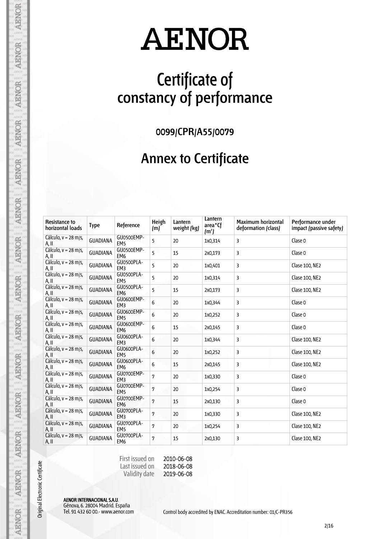## **Certificate of constancy of performance**

**0099/CPR/A55/0079**

#### **Annex to Certificate**

| <b>Resistance to</b><br>horizontal loads | <b>Type</b>     | Reference                     | Heigh<br>(m) | Lantern<br>weight (kg) | Lantern<br>area <sup>*</sup> Cf<br>(m <sup>2</sup> ) | <b>Maximum horizontal</b><br>deformation (class) | Performance under<br>impact (passive safety) |
|------------------------------------------|-----------------|-------------------------------|--------------|------------------------|------------------------------------------------------|--------------------------------------------------|----------------------------------------------|
| Cálculo, $v = 28$ m/s,<br>A, II          | <b>GUADIANA</b> | GU0500EMP-<br>EM <sub>5</sub> | 5            | 20                     | 1x0,314                                              | 3                                                | Clase 0                                      |
| Cálculo, $v = 28$ m/s,<br>A, II          | <b>GUADIANA</b> | GU0500EMP-<br>EM <sub>6</sub> | 5            | 15                     | 2x0,173                                              | 3                                                | Clase 0                                      |
| Cálculo, $v = 28$ m/s,<br>A, II          | <b>GUADIANA</b> | GU0500PLA-<br>EM <sub>3</sub> | 5            | 20                     | 1x0,401                                              | 3                                                | Clase 100, NE2                               |
| Cálculo, $v = 28$ m/s,<br>A. II          | <b>GUADIANA</b> | GU0500PLA-<br>EM <sub>5</sub> | 5            | 20                     | 1x0,314                                              | 3                                                | Clase 100, NE2                               |
| Cálculo, $v = 28$ m/s,<br>A, II          | <b>GUADIANA</b> | GU0500PLA-<br>EM <sub>6</sub> | 5            | 15                     | 2x0,173                                              | 3                                                | Clase 100, NE2                               |
| Cálculo, $v = 28$ m/s,<br>A, II          | <b>GUADIANA</b> | GU0600EMP-<br>EM <sub>3</sub> | 6            | 20                     | 1x0,344                                              | 3                                                | Clase 0                                      |
| Cálculo, $v = 28$ m/s,<br>A, II          | <b>GUADIANA</b> | GU0600EMP-<br>EM <sub>5</sub> | 6            | 20                     | 1x0,252                                              | 3                                                | Clase 0                                      |
| Cálculo, $v = 28$ m/s,<br>A, II          | <b>GUADIANA</b> | GU0600EMP-<br>EM <sub>6</sub> | 6            | 15                     | 2x0,145                                              | 3                                                | Clase 0                                      |
| Cálculo, v = 28 m/s,<br>A. II            | <b>GUADIANA</b> | GU0600PLA-<br>EM <sub>3</sub> | 6            | 20                     | 1x0,344                                              | 3                                                | Clase 100, NE2                               |
| Cálculo, $v = 28$ m/s,<br>A, II          | <b>GUADIANA</b> | GU0600PLA-<br>EM <sub>5</sub> | 6            | 20                     | 1x0,252                                              | 3                                                | Clase 100, NE2                               |
| Cálculo, $v = 28$ m/s,<br>A, II          | <b>GUADIANA</b> | GU0600PLA-<br>EM <sub>6</sub> | 6            | 15                     | 2x0,145                                              | 3                                                | Clase 100, NE2                               |
| Cálculo, $v = 28$ m/s,<br>A, II          | <b>GUADIANA</b> | GU0700EMP-<br>EM <sub>3</sub> | 7            | 20                     | 1x0,330                                              | 3                                                | Clase 0                                      |
| Cálculo, $v = 28$ m/s,<br>A, II          | <b>GUADIANA</b> | GU0700EMP-<br>EM <sub>5</sub> | 7            | 20                     | 1x0,254                                              | 3                                                | Clase 0                                      |
| Cálculo, $v = 28$ m/s,<br>A, II          | <b>GUADIANA</b> | GU0700EMP-<br>EM <sub>6</sub> | 7            | 15                     | 2x0,130                                              | 3                                                | Clase 0                                      |
| Cálculo, $v = 28$ m/s,<br>A, II          | <b>GUADIANA</b> | GU0700PLA-<br>EM3             | 7            | 20                     | 1x0,330                                              | 3                                                | Clase 100, NE2                               |
| Cálculo, $v = 28$ m/s,<br>A, II          | <b>GUADIANA</b> | GU0700PLA-<br>EM <sub>5</sub> | 7            | 20                     | 1x0,254                                              | 3                                                | Clase 100, NE2                               |
| Cálculo, $v = 28$ m/s,<br>A, II          | <b>GUADIANA</b> | GU0700PLA-<br>EM <sub>6</sub> | 7            | 15                     | 2x0,130                                              | 3                                                | Clase 100, NE2                               |

First issued on Last issued on Validity date 2010-06-08

2018-06-08 2019-06-08

AENOR INTERNACIONAL S.A.U.

Original Electronic Certificate

**AENOR** 

**AENOR** 

AENOR

**AENOR** 

**AENOR** 

**AENOR** 

**AENOR** 

**AENOR** 

**AENOR** 

**AENOR** 

**AENOR** 

AENOR

AENOR

**AENOR** 

Génova, 6. 28004 Madrid. España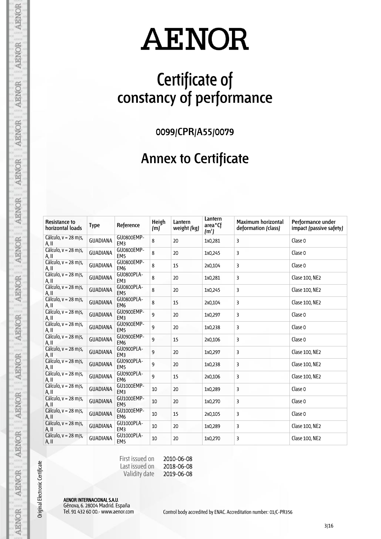## **Certificate of constancy of performance**

**0099/CPR/A55/0079**

#### **Annex to Certificate**

| <b>Resistance to</b><br>horizontal loads | <b>Type</b>     | Reference                     | Heigh<br>(m) | Lantern<br>weight (kg) | Lantern<br>area <sup>*</sup> Cf<br>(m <sup>2</sup> ) | <b>Maximum horizontal</b><br>deformation (class) | Performance under<br>impact (passive safety) |
|------------------------------------------|-----------------|-------------------------------|--------------|------------------------|------------------------------------------------------|--------------------------------------------------|----------------------------------------------|
| Cálculo, $v = 28$ m/s,<br>A, II          | <b>GUADIANA</b> | GU0800EMP-<br>EM3             | 8            | 20                     | 1x0,281                                              | 3                                                | Clase 0                                      |
| Cálculo, v = 28 m/s,<br>A, II            | <b>GUADIANA</b> | GU0800EMP-<br>EM <sub>5</sub> | 8            | 20                     | 1x0,245                                              | 3                                                | Clase 0                                      |
| Cálculo, $v = 28$ m/s,<br>A, II          | <b>GUADIANA</b> | GU0800EMP-<br>EM <sub>6</sub> | 8            | 15                     | 2x0,104                                              | 3                                                | Clase 0                                      |
| Cálculo, $v = 28$ m/s,<br>A, II          | <b>GUADIANA</b> | GU0800PLA-<br>EM3             | 8            | 20                     | 1x0,281                                              | 3                                                | Clase 100, NE2                               |
| Cálculo, $v = 28$ m/s,<br>A, II          | <b>GUADIANA</b> | GU0800PLA-<br>EM <sub>5</sub> | 8            | 20                     | 1x0,245                                              | 3                                                | Clase 100, NE2                               |
| Cálculo, $v = 28$ m/s,<br>A, II          | <b>GUADIANA</b> | GU0800PLA-<br>EM <sub>6</sub> | 8            | 15                     | 2x0,104                                              | 3                                                | Clase 100, NE2                               |
| Cálculo, $v = 28$ m/s,<br>A, II          | <b>GUADIANA</b> | GU0900EMP-<br>EM <sub>3</sub> | 9            | 20                     | 1x0,297                                              | 3                                                | Clase 0                                      |
| Cálculo, $v = 28$ m/s,<br>A, II          | <b>GUADIANA</b> | GU0900EMP-<br>EM <sub>5</sub> | 9            | 20                     | 1x0,238                                              | 3                                                | Clase 0                                      |
| Cálculo, $v = 28$ m/s,<br>A, II          | <b>GUADIANA</b> | GU0900EMP-<br>EM <sub>6</sub> | 9            | 15                     | 2x0,106                                              | 3                                                | Clase 0                                      |
| Cálculo, $v = 28$ m/s,<br>A, II          | <b>GUADIANA</b> | GU0900PLA-<br>EM <sub>3</sub> | 9            | 20                     | 1x0,297                                              | 3                                                | Clase 100, NE2                               |
| Cálculo, v = 28 m/s,<br>A, II            | <b>GUADIANA</b> | GU0900PLA-<br>EM <sub>5</sub> | 9            | 20                     | 1x0,238                                              | 3                                                | Clase 100, NE2                               |
| Cálculo, $v = 28$ m/s,<br>A, II          | <b>GUADIANA</b> | GU0900PLA-<br>EM <sub>6</sub> | 9            | 15                     | 2x0,106                                              | 3                                                | Clase 100, NE2                               |
| Cálculo, $v = 28$ m/s,<br>A, II          | <b>GUADIANA</b> | GU1000EMP-<br>EM <sub>3</sub> | 10           | 20                     | 1x0,289                                              | 3                                                | Clase 0                                      |
| Cálculo, $v = 28$ m/s,<br>A, II          | <b>GUADIANA</b> | GU1000EMP-<br>EM <sub>5</sub> | 10           | 20                     | 1x0,270                                              | 3                                                | Clase 0                                      |
| Cálculo, $v = 28$ m/s,<br>A, II          | <b>GUADIANA</b> | GU1000EMP-<br>EM <sub>6</sub> | 10           | 15                     | 2x0,105                                              | 3                                                | Clase 0                                      |
| Cálculo, $v = 28$ m/s,<br>A, II          | <b>GUADIANA</b> | GU1000PLA-<br>EM <sub>3</sub> | 10           | 20                     | 1x0,289                                              | 3                                                | Clase 100, NE2                               |
| Cálculo, $v = 28$ m/s,<br>A, II          | <b>GUADIANA</b> | GU1000PLA-<br>EM <sub>5</sub> | 10           | 20                     | 1x0,270                                              | 3                                                | Clase 100, NE2                               |

First issued on Last issued on Validity date 2010-06-08

2018-06-08 2019-06-08

AENOR INTERNACIONAL S.A.U. Génova, 6. 28004 Madrid. España

Original Electronic Certificate

**AENOR** 

**AENOR** 

**AENOR** 

**AENOR** 

**AENOR** 

**AENOR** 

**AENOR** 

**AENOR** 

**AENOR** 

**AENOR** 

**AENOR** 

AENOR

AENOR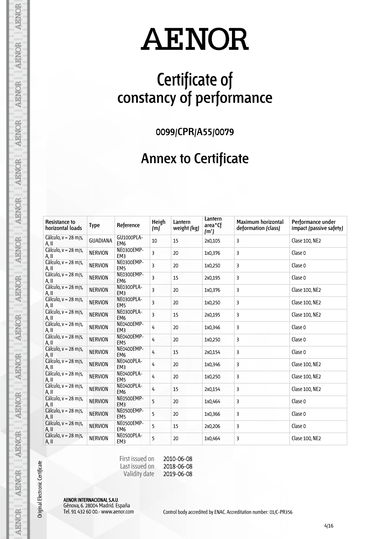## **Certificate of constancy of performance**

**0099/CPR/A55/0079**

#### **Annex to Certificate**

| <b>Resistance to</b><br>horizontal loads | <b>Type</b>     | Reference                     | Heigh<br>(m) | Lantern<br>weight (kg) | Lantern<br>area <sup>*</sup> Cf<br>(m <sup>2</sup> ) | <b>Maximum horizontal</b><br>deformation (class) | Performance under<br>impact (passive safety) |
|------------------------------------------|-----------------|-------------------------------|--------------|------------------------|------------------------------------------------------|--------------------------------------------------|----------------------------------------------|
| Cálculo, $v = 28$ m/s,<br>A, II          | <b>GUADIANA</b> | GU1000PLA-<br>EM <sub>6</sub> | 10           | 15                     | 2x0,105                                              | 3                                                | Clase 100, NE2                               |
| Cálculo, v = 28 m/s,<br>A, II            | <b>NERVION</b>  | NE0300EMP-<br>EM <sub>3</sub> | 3            | 20                     | 1x0,376                                              | 3                                                | Clase 0                                      |
| Cálculo, $v = 28$ m/s,<br>A, II          | <b>NERVION</b>  | NE0300EMP-<br>EM <sub>5</sub> | 3            | 20                     | 1x0,250                                              | 3                                                | Clase 0                                      |
| Cálculo, $v = 28$ m/s,<br>A, II          | <b>NERVION</b>  | NE0300EMP-<br>EM <sub>6</sub> | 3            | 15                     | 2x0,195                                              | 3                                                | Clase 0                                      |
| Cálculo, $v = 28$ m/s,<br>A, II          | <b>NERVION</b>  | NE0300PLA-<br>EM <sub>3</sub> | 3            | 20                     | 1x0,376                                              | 3                                                | Clase 100, NE2                               |
| Cálculo, $v = 28$ m/s,<br>A, II          | <b>NERVION</b>  | NE0300PLA-<br>EM <sub>5</sub> | 3            | 20                     | 1x0,250                                              | 3                                                | Clase 100, NE2                               |
| Cálculo, $v = 28$ m/s,<br>A, II          | <b>NERVION</b>  | NE0300PLA-<br>EM <sub>6</sub> | 3            | 15                     | 2x0,195                                              | 3                                                | Clase 100, NE2                               |
| Cálculo, $v = 28$ m/s,<br>A, II          | <b>NERVION</b>  | NE0400EMP-<br>EM <sub>3</sub> | 4            | 20                     | 1x0,346                                              | 3                                                | Clase 0                                      |
| Cálculo, $v = 28$ m/s,<br>A, II          | <b>NERVION</b>  | NE0400EMP-<br>EM <sub>5</sub> | 4            | 20                     | 1x0,250                                              | 3                                                | Clase 0                                      |
| Cálculo, $v = 28$ m/s,<br>A, II          | <b>NERVION</b>  | NE0400EMP-<br>EM <sub>6</sub> | 4            | 15                     | 2x0,154                                              | 3                                                | Clase 0                                      |
| Cálculo, $v = 28$ m/s,<br>A, II          | <b>NERVION</b>  | NE0400PLA-<br>EM <sub>3</sub> | 4            | 20                     | 1x0,346                                              | 3                                                | Clase 100, NE2                               |
| Cálculo, $v = 28$ m/s,<br>A, II          | <b>NERVION</b>  | NE0400PLA-<br>EM <sub>5</sub> | 4            | 20                     | 1x0,250                                              | 3                                                | Clase 100, NE2                               |
| Cálculo, $v = 28$ m/s,<br>A, II          | <b>NERVION</b>  | NE0400PLA-<br>EM <sub>6</sub> | 4            | 15                     | 2x0,154                                              | 3                                                | Clase 100, NE2                               |
| Cálculo, $v = 28$ m/s,<br>A, II          | <b>NERVION</b>  | NE0500EMP-<br>EM <sub>3</sub> | 5            | 20                     | 1x0,464                                              | 3                                                | Clase 0                                      |
| Cálculo, $v = 28$ m/s,<br>A, II          | <b>NERVION</b>  | NE0500EMP-<br>EM <sub>5</sub> | 5            | 20                     | 1x0,366                                              | 3                                                | Clase 0                                      |
| Cálculo, $v = 28$ m/s,<br>A, II          | <b>NERVION</b>  | NE0500EMP-<br>EM <sub>6</sub> | 5            | 15                     | 2x0,206                                              | 3                                                | Clase 0                                      |
| Cálculo, $v = 28$ m/s,<br>A, II          | <b>NERVION</b>  | NE0500PLA-<br>EM3             | 5            | 20                     | 1x0,464                                              | 3                                                | Clase 100, NE2                               |

First issued on Last issued on Validity date 2010-06-08

2018-06-08 2019-06-08

AENOR INTERNACIONAL S.A.U. Génova, 6. 28004 Madrid. España

Original Electronic Certificate

**AENOR** 

**AENOR** 

**AENOR** 

**AENOR** 

**AENOR** 

**AENOR** 

**AENOR** 

**AENOR** 

**AENOR** 

**AENOR** 

**AENOR** 

AENOR

AENOR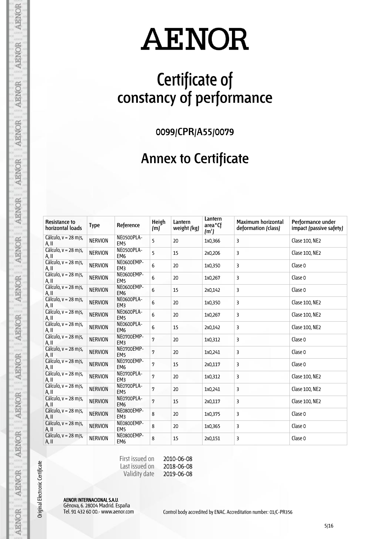## **Certificate of constancy of performance**

**0099/CPR/A55/0079**

#### **Annex to Certificate**

| <b>Resistance to</b><br>horizontal loads | <b>Type</b>    | Reference                     | Heigh<br>(m) | Lantern<br>weight (kg) | Lantern<br>area <sup>*</sup> Cf<br>(m <sup>2</sup> ) | <b>Maximum horizontal</b><br>deformation (class) | Performance under<br>impact (passive safety) |
|------------------------------------------|----------------|-------------------------------|--------------|------------------------|------------------------------------------------------|--------------------------------------------------|----------------------------------------------|
| Cálculo, $v = 28$ m/s,<br>A, II          | <b>NERVION</b> | NE0500PLA-<br>EM <sub>5</sub> | 5            | 20                     | 1x0,366                                              | 3                                                | Clase 100, NE2                               |
| Cálculo, $v = 28$ m/s,<br>A, II          | <b>NERVION</b> | NE0500PLA-<br>EM <sub>6</sub> | 5            | 15                     | 2x0,206                                              | 3                                                | Clase 100, NE2                               |
| Cálculo, $v = 28$ m/s,<br>A, II          | <b>NERVION</b> | NE0600EMP-<br>EM <sub>3</sub> | 6            | 20                     | 1x0,350                                              | 3                                                | Clase 0                                      |
| Cálculo, v = 28 m/s,<br>A, II            | <b>NERVION</b> | NE0600EMP-<br>EM <sub>5</sub> | 6            | 20                     | 1x0,267                                              | 3                                                | Clase 0                                      |
| Cálculo, $v = 28$ m/s,<br>A, II          | <b>NERVION</b> | NE0600EMP-<br>EM <sub>6</sub> | 6            | 15                     | 2x0,142                                              | 3                                                | Clase 0                                      |
| Cálculo, $v = 28$ m/s,<br>A, II          | <b>NERVION</b> | NE0600PLA-<br>EM <sub>3</sub> | 6            | 20                     | 1x0,350                                              | 3                                                | Clase 100, NE2                               |
| Cálculo, $v = 28$ m/s,<br>A, II          | <b>NERVION</b> | NE0600PLA-<br>EM <sub>5</sub> | 6            | 20                     | 1x0,267                                              | 3                                                | Clase 100, NE2                               |
| Cálculo, $v = 28$ m/s,<br>A, II          | <b>NERVION</b> | NE0600PLA-<br>EM <sub>6</sub> | 6            | 15                     | 2x0,142                                              | 3                                                | Clase 100, NE2                               |
| Cálculo, $v = 28$ m/s,<br>A, II          | <b>NERVION</b> | NE0700EMP-<br>EM <sub>3</sub> | 7            | 20                     | 1x0,312                                              | 3                                                | Clase 0                                      |
| Cálculo, $v = 28$ m/s,<br>A, II          | <b>NERVION</b> | NE0700EMP-<br>EM <sub>5</sub> | 7            | 20                     | 1x0,241                                              | 3                                                | Clase 0                                      |
| Cálculo, v = 28 m/s,<br>A, II            | <b>NERVION</b> | NE0700EMP-<br>EM <sub>6</sub> | 7            | 15                     | 2x0,117                                              | 3                                                | Clase 0                                      |
| Cálculo, $v = 28$ m/s,<br>A, II          | <b>NERVION</b> | NE0700PLA-<br>EM <sub>3</sub> | 7            | 20                     | 1x0,312                                              | 3                                                | Clase 100, NE2                               |
| Cálculo, $v = 28$ m/s,<br>A, II          | <b>NERVION</b> | NE0700PLA-<br>EM <sub>5</sub> | 7            | 20                     | 1x0,241                                              | 3                                                | Clase 100, NE2                               |
| Cálculo, $v = 28$ m/s,<br>A, II          | <b>NERVION</b> | NE0700PLA-<br>EM <sub>6</sub> | 7            | 15                     | 2x0,117                                              | 3                                                | Clase 100, NE2                               |
| Cálculo, $v = 28$ m/s,<br>A, II          | <b>NERVION</b> | NE0800EMP-<br>EM <sub>3</sub> | 8            | 20                     | 1x0,375                                              | 3                                                | Clase 0                                      |
| Cálculo, v = 28 m/s,<br>A, II            | <b>NERVION</b> | NE0800EMP-<br>EM <sub>5</sub> | 8            | 20                     | 1x0,365                                              | 3                                                | Clase 0                                      |
| Cálculo, $v = 28$ m/s,<br>A, II          | <b>NERVION</b> | NE0800EMP-<br>EM <sub>6</sub> | 8            | 15                     | 2x0,151                                              | 3                                                | Clase 0                                      |

First issued on Last issued on Validity date 2010-06-08

2018-06-08 2019-06-08

AENOR INTERNACIONAL S.A.U. Génova, 6. 28004 Madrid. España

Original Electronic Certificate

**AENOR** 

**AENOR** 

**AENOR** 

**AENOR** 

**AENOR** 

**AENOR** 

**AENOR** 

**AENOR** 

**AENOR** 

**AENOR** 

**AENOR** 

AENOR

AENOR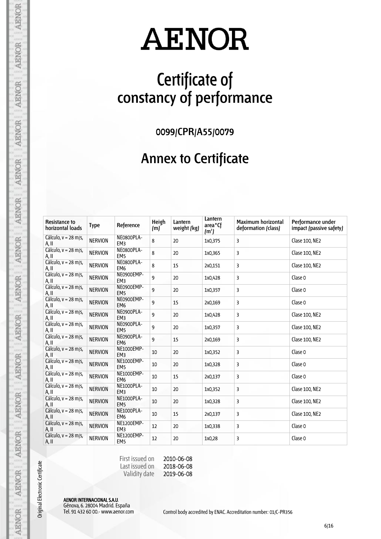## **Certificate of constancy of performance**

**0099/CPR/A55/0079**

#### **Annex to Certificate**

| <b>Resistance to</b><br>horizontal loads | Type           | Reference                     | Heigh<br>(m) | Lantern<br>weight (kg) | Lantern<br>area <sup>*</sup> Cf<br>(m <sup>2</sup> ) | <b>Maximum horizontal</b><br>deformation (class) | Performance under<br>impact (passive safety) |
|------------------------------------------|----------------|-------------------------------|--------------|------------------------|------------------------------------------------------|--------------------------------------------------|----------------------------------------------|
| Cálculo, $v = 28$ m/s,<br>A, II          | <b>NERVION</b> | NE0800PLA-<br>EM <sub>3</sub> | 8            | 20                     | 1x0,375                                              | 3                                                | Clase 100, NE2                               |
| Cálculo, $v = 28$ m/s,<br>A, II          | <b>NERVION</b> | NE0800PLA-<br>EM <sub>5</sub> | 8            | 20                     | 1x0,365                                              | 3                                                | Clase 100, NE2                               |
| Cálculo, $v = 28$ m/s,<br>A, II          | <b>NERVION</b> | NE0800PLA-<br>EM <sub>6</sub> | 8            | 15                     | 2x0,151                                              | 3                                                | Clase 100, NE2                               |
| Cálculo, $v = 28$ m/s,<br>A, II          | <b>NERVION</b> | NE0900EMP-<br>EM <sub>3</sub> | 9            | 20                     | 1x0,428                                              | 3                                                | Clase 0                                      |
| Cálculo, v = 28 m/s,<br>A, II            | <b>NERVION</b> | NE0900EMP-<br>EM <sub>5</sub> | 9            | 20                     | 1x0,357                                              | 3                                                | Clase 0                                      |
| Cálculo, v = 28 m/s,<br>A, II            | <b>NERVION</b> | NE0900EMP-<br>EM <sub>6</sub> | 9            | 15                     | 2x0,169                                              | 3                                                | Clase 0                                      |
| Cálculo, $v = 28$ m/s,<br>A, II          | <b>NERVION</b> | NE0900PLA-<br>EM <sub>3</sub> | 9            | 20                     | 1x0,428                                              | 3                                                | Clase 100, NE2                               |
| Cálculo, $v = 28$ m/s,<br>A, II          | <b>NERVION</b> | NE0900PLA-<br>EM <sub>5</sub> | 9            | 20                     | 1x0,357                                              | 3                                                | Clase 100, NE2                               |
| Cálculo, v = 28 m/s,<br>A, II            | <b>NERVION</b> | NE0900PLA-<br>EM <sub>6</sub> | 9            | 15                     | 2x0,169                                              | 3                                                | Clase 100, NE2                               |
| Cálculo, $v = 28$ m/s,<br>A, II          | <b>NERVION</b> | NE1000EMP-<br>EM <sub>3</sub> | 10           | 20                     | 1x0,352                                              | 3                                                | Clase 0                                      |
| Cálculo, $v = 28$ m/s,<br>A, II          | <b>NERVION</b> | NE1000EMP-<br>EM <sub>5</sub> | 10           | 20                     | 1x0,328                                              | 3                                                | Clase 0                                      |
| Cálculo, $v = 28$ m/s,<br>A, II          | <b>NERVION</b> | NE1000EMP-<br>EM <sub>6</sub> | 10           | 15                     | 2x0,137                                              | 3                                                | Clase 0                                      |
| Cálculo, $v = 28$ m/s,<br>A, II          | <b>NERVION</b> | NE1000PLA-<br>EM <sub>3</sub> | 10           | 20                     | 1x0,352                                              | 3                                                | Clase 100, NE2                               |
| Cálculo, $v = 28$ m/s,<br>A, II          | <b>NERVION</b> | NE1000PLA-<br>EM <sub>5</sub> | 10           | 20                     | 1x0,328                                              | 3                                                | Clase 100, NE2                               |
| Cálculo, $v = 28$ m/s,<br>A, II          | <b>NERVION</b> | NE1000PLA-<br>EM <sub>6</sub> | 10           | 15                     | 2x0,137                                              | 3                                                | Clase 100, NE2                               |
| Cálculo, v = 28 m/s,<br>$A.$ II          | <b>NERVION</b> | NE1200EMP-<br>EM <sub>3</sub> | 12           | 20                     | 1x0,338                                              | 3                                                | Clase 0                                      |
| Cálculo, $v = 28$ m/s,<br>A, II          | <b>NERVION</b> | NE1200EMP-<br>EM <sub>5</sub> | 12           | 20                     | 1x0,28                                               | 3                                                | Clase 0                                      |

First issued on Last issued on Validity date 2010-06-08

2018-06-08 2019-06-08

AENOR INTERNACIONAL S.A.U. Génova, 6. 28004 Madrid. España

Original Electronic Certificate

**AENOR** 

**AENOR** 

**AENOR** 

**AENOR** 

**AENOR** 

**AENOR** 

**AENOR** 

**AENOR** 

**AENOR** 

**AENOR** 

**AENOR** 

AENOR

AENOR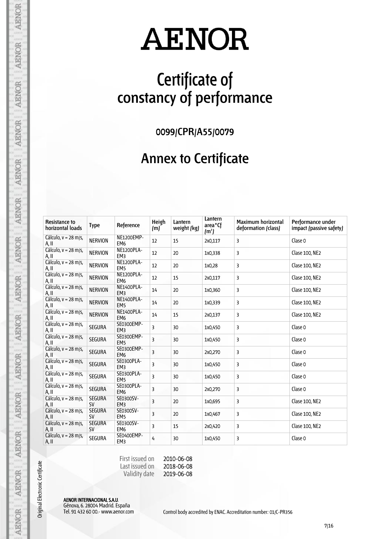## **Certificate of constancy of performance**

**0099/CPR/A55/0079**

#### **Annex to Certificate**

| <b>Resistance to</b><br>horizontal loads | <b>Type</b>                | Reference                            | Heigh<br>(m)   | Lantern<br>weight (kg) | Lantern<br>area <sup>*</sup> Cf<br>(m <sup>2</sup> ) | <b>Maximum horizontal</b><br>deformation (class) | Performance under<br>impact (passive safety) |
|------------------------------------------|----------------------------|--------------------------------------|----------------|------------------------|------------------------------------------------------|--------------------------------------------------|----------------------------------------------|
| Cálculo, $v = 28$ m/s,<br>A, II          | <b>NERVION</b>             | NE1200EMP-<br>EM <sub>6</sub>        | 12             | 15                     | 2x0,117                                              | 3                                                | Clase 0                                      |
| Cálculo, v = 28 m/s,<br>A, II            | <b>NERVION</b>             | NE1200PLA-<br>EM <sub>3</sub>        | 12             | 20                     | 1x0,338                                              | 3                                                | Clase 100, NE2                               |
| Cálculo, v = 28 m/s,<br>A, II            | <b>NERVION</b>             | NE1200PLA-<br>EM <sub>5</sub>        | 12             | 20                     | 1x0,28                                               | 3                                                | Clase 100, NE2                               |
| Cálculo, v = 28 m/s,<br>A, II            | <b>NERVION</b>             | NE1200PLA-<br>EM <sub>6</sub>        | 12             | 15                     | 2x0,117                                              | 3                                                | Clase 100, NE2                               |
| Cálculo, $v = 28$ m/s,<br>A, II          | <b>NERVION</b>             | NE1400PLA-<br>EM <sub>3</sub>        | 14             | 20                     | 1x0,360                                              | 3                                                | Clase 100, NE2                               |
| Cálculo, v = 28 m/s,<br>A, II            | <b>NERVION</b>             | NE1400PLA-<br>EM <sub>5</sub>        | 14             | 20                     | 1x0,339                                              | 3                                                | Clase 100, NE2                               |
| Cálculo, $v = 28$ m/s,<br>A, II          | <b>NERVION</b>             | <b>NE1400PLA-</b><br>EM <sub>6</sub> | 14             | 15                     | 2x0,137                                              | 3                                                | Clase 100, NE2                               |
| Cálculo, $v = 28$ m/s,<br>A, II          | <b>SEGURA</b>              | SE0300EMP-<br>EM <sub>3</sub>        | 3              | 30                     | 1x0,450                                              | 3                                                | Clase 0                                      |
| Cálculo, v = 28 m/s,<br>A, II            | <b>SEGURA</b>              | SE0300EMP-<br>EM <sub>5</sub>        | 3              | 30                     | 1x0,450                                              | 3                                                | Clase 0                                      |
| Cálculo, $v = 28$ m/s,<br>A, II          | <b>SEGURA</b>              | SE0300EMP-<br>EM <sub>6</sub>        | $\overline{3}$ | 30                     | 2x0,270                                              | 3                                                | Clase 0                                      |
| Cálculo, v = 28 m/s,<br>A, II            | <b>SEGURA</b>              | SE0300PLA-<br>EM <sub>3</sub>        | 3              | 30                     | 1x0,450                                              | 3                                                | Clase 0                                      |
| Cálculo, $v = 28$ m/s,<br>A, II          | <b>SEGURA</b>              | SE0300PLA-<br>EM <sub>5</sub>        | 3              | 30                     | 1x0,450                                              | 3                                                | Clase 0                                      |
| Cálculo, $v = 28$ m/s,<br>A, II          | <b>SEGURA</b>              | SE0300PLA-<br>EM <sub>6</sub>        | 3              | 30                     | 2x0,270                                              | 3                                                | Clase 0                                      |
| Cálculo, $v = 28$ m/s,<br>A, II          | <b>SEGURA</b><br>SV        | SE0300SV-<br>EM <sub>3</sub>         | 3              | 20                     | 1x0,695                                              | 3                                                | Clase 100, NE2                               |
| Cálculo, $v = 28$ m/s,<br>A, II          | <b>SEGURA</b><br><b>SV</b> | SE0300SV-<br>EM <sub>5</sub>         | 3              | 20                     | 1x0,467                                              | 3                                                | Clase 100, NE2                               |
| Cálculo, $v = 28$ m/s,<br>A, II          | <b>SEGURA</b><br>SV        | SE0300SV-<br>EM <sub>6</sub>         | 3              | 15                     | 2x0,420                                              | 3                                                | Clase 100, NE2                               |
| Cálculo, $v = 28$ m/s,<br>A, II          | <b>SEGURA</b>              | SE0400EMP-<br>EM <sub>3</sub>        | 4              | 30                     | 1x0,450                                              | 3                                                | Clase 0                                      |

First issued on Last issued on Validity date 2010-06-08

2018-06-08 2019-06-08

AENOR INTERNACIONAL S.A.U. Génova, 6. 28004 Madrid. España

Original Electronic Certificate

**AENOR** 

**AENOR** 

**AENOR** 

**AENOR** 

**AENOR** 

**AENOR** 

**AENOR** 

**AENOR** 

**AENOR** 

**AENOR** 

**AENOR** 

AENOR

AENOR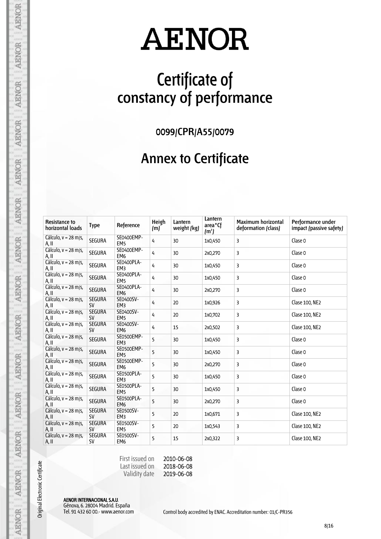## **Certificate of constancy of performance**

**0099/CPR/A55/0079**

#### **Annex to Certificate**

| <b>Resistance to</b><br>horizontal loads | Type                       | Reference                            | Heigh<br>(m) | Lantern<br>weight (kg) | Lantern<br>area <sup>*</sup> Cf<br>(m <sup>2</sup> ) | <b>Maximum horizontal</b><br>deformation (class) | Performance under<br>impact (passive safety) |
|------------------------------------------|----------------------------|--------------------------------------|--------------|------------------------|------------------------------------------------------|--------------------------------------------------|----------------------------------------------|
| Cálculo, $v = 28$ m/s,<br>A, II          | <b>SEGURA</b>              | SE0400EMP-<br>EM <sub>5</sub>        | 4            | 30                     | 1x0,450                                              | 3                                                | Clase 0                                      |
| Cálculo, v = 28 m/s,<br>A, II            | <b>SEGURA</b>              | SE0400EMP-<br>EM <sub>6</sub>        | 4            | 30                     | 2x0,270                                              | 3                                                | Clase 0                                      |
| Cálculo, $v = 28$ m/s,<br>A, II          | <b>SEGURA</b>              | SE0400PLA-<br>EM3                    | 4            | 30                     | 1x0,450                                              | 3                                                | Clase 0                                      |
| Cálculo, $v = 28$ m/s,<br>A, II          | <b>SEGURA</b>              | SE0400PLA-<br>EM <sub>5</sub>        | 4            | 30                     | 1x0,450                                              | 3                                                | Clase 0                                      |
| Cálculo, v = 28 m/s,<br>A, II            | <b>SEGURA</b>              | SE0400PLA-<br>EM <sub>6</sub>        | 4            | 30                     | 2x0,270                                              | 3                                                | Clase 0                                      |
| Cálculo, v = 28 m/s,<br>A, II            | <b>SEGURA</b><br><b>SV</b> | SE0400SV-<br>EM <sub>3</sub>         | 4            | 20                     | 1x0,926                                              | 3                                                | Clase 100, NE2                               |
| Cálculo, $v = 28$ m/s,<br>A, II          | <b>SEGURA</b><br><b>SV</b> | SE0400SV-<br>EM <sub>5</sub>         | 4            | 20                     | 1x0,702                                              | 3                                                | Clase 100, NE2                               |
| Cálculo, $v = 28$ m/s,<br>A, II          | <b>SEGURA</b><br><b>SV</b> | SE0400SV-<br>EM <sub>6</sub>         | 4            | 15                     | 2x0,502                                              | 3                                                | Clase 100, NE2                               |
| Cálculo, $v = 28$ m/s,<br>A, II          | <b>SEGURA</b>              | SE0500EMP-<br>EM <sub>3</sub>        | 5            | 30                     | 1x0,450                                              | 3                                                | Clase 0                                      |
| Cálculo, v = 28 m/s,<br>A, II            | <b>SEGURA</b>              | SE0500EMP-<br>EM <sub>5</sub>        | 5            | 30                     | 1x0,450                                              | 3                                                | Clase 0                                      |
| Cálculo, v = 28 m/s,<br>A, II            | <b>SEGURA</b>              | <b>SE0500EMP-</b><br>EM <sub>6</sub> | 5            | 30                     | 2x0,270                                              | 3                                                | Clase 0                                      |
| Cálculo, $v = 28$ m/s,<br>A, II          | <b>SEGURA</b>              | SE0500PLA-<br>EM <sub>3</sub>        | 5            | 30                     | 1x0,450                                              | 3                                                | Clase 0                                      |
| Cálculo, $v = 28$ m/s,<br>A, II          | <b>SEGURA</b>              | SE0500PLA-<br>EM <sub>5</sub>        | 5            | 30                     | 1x0,450                                              | 3                                                | Clase 0                                      |
| Cálculo, $v = 28$ m/s,<br>A, II          | <b>SEGURA</b>              | SE0500PLA-<br>EM <sub>6</sub>        | 5            | 30                     | 2x0,270                                              | 3                                                | Clase 0                                      |
| Cálculo, $v = 28$ m/s,<br>A, II          | <b>SEGURA</b><br><b>SV</b> | SE0500SV-<br>EM <sub>3</sub>         | 5            | 20                     | 1x0,671                                              | 3                                                | Clase 100, NE2                               |
| Cálculo, $v = 28$ m/s,<br>$A.$ II        | <b>SEGURA</b><br><b>SV</b> | SE0500SV-<br>EM <sub>5</sub>         | 5            | 20                     | 1x0,543                                              | 3                                                | Clase 100, NE2                               |
| Cálculo, $v = 28$ m/s,<br>A, II          | <b>SEGURA</b><br><b>SV</b> | SE0500SV-<br>EM <sub>6</sub>         | 5            | 15                     | 2x0,322                                              | 3                                                | Clase 100, NE2                               |

First issued on Last issued on Validity date 2010-06-08

2018-06-08 2019-06-08

AENOR INTERNACIONAL S.A.U. Génova, 6. 28004 Madrid. España

Original Electronic Certificate

**AENOR** 

**AENOR** 

**AENOR** 

**AENOR** 

**AENOR** 

**AENOR** 

**AENOR** 

**AENOR** 

**AENOR** 

**AENOR** 

**AENOR** 

AENOR

AENOR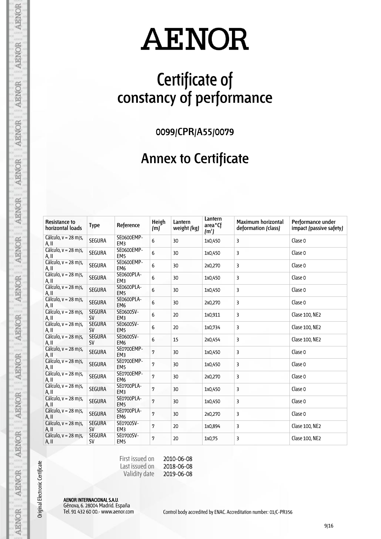## **Certificate of constancy of performance**

**0099/CPR/A55/0079**

#### **Annex to Certificate**

| <b>Resistance to</b><br>horizontal loads | Type                       | Reference                     | Heigh<br>(m) | Lantern<br>weight (kg) | Lantern<br>area <sup>*</sup> Cf<br>(m <sup>2</sup> ) | <b>Maximum horizontal</b><br>deformation (class) | Performance under<br>impact (passive safety) |
|------------------------------------------|----------------------------|-------------------------------|--------------|------------------------|------------------------------------------------------|--------------------------------------------------|----------------------------------------------|
| Cálculo, $v = 28$ m/s,<br>A, II          | <b>SEGURA</b>              | SE0600EMP-<br>EM3             | 6            | 30                     | 1x0,450                                              | 3                                                | Clase 0                                      |
| Cálculo, v = 28 m/s,<br>A, II            | <b>SEGURA</b>              | SE0600EMP-<br>EM <sub>5</sub> | 6            | 30                     | 1x0,450                                              | 3                                                | Clase 0                                      |
| Cálculo, $v = 28$ m/s,<br>A, II          | <b>SEGURA</b>              | SE0600EMP-<br>EM <sub>6</sub> | 6            | 30                     | 2x0,270                                              | 3                                                | Clase 0                                      |
| Cálculo, $v = 28$ m/s,<br>A, II          | <b>SEGURA</b>              | SE0600PLA-<br>EM <sub>3</sub> | 6            | 30                     | 1x0,450                                              | 3                                                | Clase 0                                      |
| Cálculo, $v = 28$ m/s,<br>A, II          | <b>SEGURA</b>              | SE0600PLA-<br>EM <sub>5</sub> | 6            | 30                     | 1x0,450                                              | 3                                                | Clase 0                                      |
| Cálculo, $v = 28$ m/s,<br>A, II          | <b>SEGURA</b>              | SE0600PLA-<br>EM <sub>6</sub> | 6            | 30                     | 2x0,270                                              | 3                                                | Clase 0                                      |
| Cálculo, $v = 28$ m/s,<br>A, II          | <b>SEGURA</b><br><b>SV</b> | SE0600SV-<br>EM <sub>3</sub>  | 6            | 20                     | 1x0,911                                              | 3                                                | Clase 100, NE2                               |
| Cálculo, $v = 28$ m/s,<br>A, II          | <b>SEGURA</b><br><b>SV</b> | SE0600SV-<br>EM <sub>5</sub>  | 6            | 20                     | 1x0,734                                              | 3                                                | Clase 100, NE2                               |
| Cálculo, $v = 28$ m/s,<br>A, II          | <b>SEGURA</b><br><b>SV</b> | SE0600SV-<br>EM <sub>6</sub>  | 6            | 15                     | 2x0,454                                              | 3                                                | Clase 100, NE2                               |
| Cálculo, $v = 28$ m/s,<br>A, II          | <b>SEGURA</b>              | SE0700EMP-<br>EM <sub>3</sub> | 7            | 30                     | 1x0,450                                              | 3                                                | Clase 0                                      |
| Cálculo, v = 28 m/s,<br>A, II            | <b>SEGURA</b>              | SE0700EMP-<br>EM <sub>5</sub> | 7            | 30                     | 1x0,450                                              | 3                                                | Clase 0                                      |
| Cálculo, $v = 28$ m/s,<br>A, II          | <b>SEGURA</b>              | SE0700EMP-<br>EM <sub>6</sub> | 7            | 30                     | 2x0,270                                              | 3                                                | Clase 0                                      |
| Cálculo, $v = 28$ m/s,<br>A, II          | <b>SEGURA</b>              | SE0700PLA-<br>EM <sub>3</sub> | 7            | 30                     | 1x0,450                                              | 3                                                | Clase 0                                      |
| Cálculo, $v = 28$ m/s,<br>A, II          | <b>SEGURA</b>              | SE0700PLA-<br>EM <sub>5</sub> | 7            | 30                     | 1x0,450                                              | 3                                                | Clase 0                                      |
| Cálculo, $v = 28$ m/s,<br>A, II          | <b>SEGURA</b>              | SE0700PLA-<br>EM <sub>6</sub> | 7            | 30                     | 2x0,270                                              | 3                                                | Clase 0                                      |
| Cálculo, $v = 28$ m/s,<br>A, II          | <b>SEGURA</b><br><b>SV</b> | SE0700SV-<br>EM <sub>3</sub>  | 7            | 20                     | 1x0,894                                              | 3                                                | Clase 100, NE2                               |
| Cálculo, $v = 28$ m/s,<br>A, II          | <b>SEGURA</b><br><b>SV</b> | SE0700SV-<br>EM <sub>5</sub>  | 7            | 20                     | 1x0,75                                               | 3                                                | Clase 100, NE2                               |

First issued on Last issued on Validity date 2010-06-08

2018-06-08 2019-06-08

AENOR INTERNACIONAL S.A.U. Génova, 6. 28004 Madrid. España

Original Electronic Certificate

**AENOR** 

**AENOR** 

**AENOR** 

**AENOR** 

**AENOR** 

**AENOR** 

**AENOR** 

**AENOR** 

**AENOR** 

**AENOR** 

**AENOR** 

AENOR

AENOR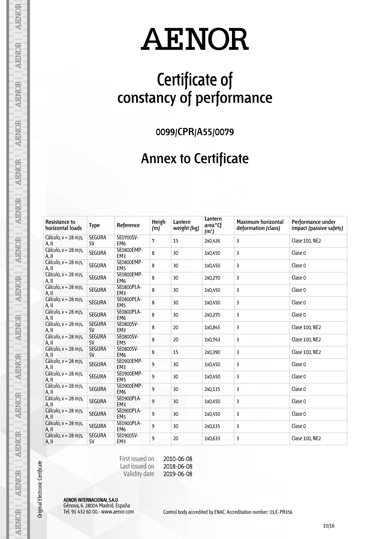## **Certificate of constancy of performance**

**0099/CPR/A55/0079**

#### **Annex to Certificate**

| <b>Resistance to</b><br>horizontal loads | <b>Type</b>                | Reference                     | Heigh<br>(m) | Lantern<br>weight (kg) | Lantern<br>area <sup>*</sup> Cf<br>(m <sup>2</sup> ) | <b>Maximum horizontal</b><br>deformation (class) | Performance under<br>impact (passive safety) |
|------------------------------------------|----------------------------|-------------------------------|--------------|------------------------|------------------------------------------------------|--------------------------------------------------|----------------------------------------------|
| Cálculo, $v = 28$ m/s,<br>A, II          | <b>SEGURA</b><br><b>SV</b> | SE0700SV-<br>EM <sub>6</sub>  | 7            | 15                     | 2x0,426                                              | 3                                                | Clase 100, NE2                               |
| Cálculo, v = 28 m/s,<br>A, II            | <b>SEGURA</b>              | SE0800EMP-<br>EM <sub>3</sub> | 8            | 30                     | 1x0,450                                              | 3                                                | Clase 0                                      |
| Cálculo, $v = 28$ m/s,<br>A, II          | <b>SEGURA</b>              | SE0800EMP-<br>EM <sub>5</sub> | 8            | 30                     | 1x0,450                                              | 3                                                | Clase 0                                      |
| Cálculo, v = 28 m/s,<br>A, II            | <b>SEGURA</b>              | SE0800EMP-<br>EM <sub>6</sub> | 8            | 30                     | 2x0,270                                              | 3                                                | Clase 0                                      |
| Cálculo, $v = 28$ m/s,<br>A, II          | <b>SEGURA</b>              | SE0800PLA-<br>EM <sub>3</sub> | 8            | 30                     | 1x0,450                                              | 3                                                | Clase 0                                      |
| Cálculo, $v = 28$ m/s,<br>A, II          | <b>SEGURA</b>              | SE0800PLA-<br>EM <sub>5</sub> | 8            | 30                     | 1x0,450                                              | 3                                                | Clase 0                                      |
| Cálculo, $v = 28$ m/s,<br>A, II          | <b>SEGURA</b>              | SE0800PLA-<br>EM <sub>6</sub> | 8            | 30                     | 2x0,270                                              | 3                                                | Clase 0                                      |
| Cálculo, $v = 28$ m/s,<br>A, II          | <b>SEGURA</b><br><b>SV</b> | SE0800SV-<br>EM <sub>3</sub>  | 8            | 20                     | 1x0,845                                              | 3                                                | Clase 100, NE2                               |
| Cálculo, $v = 28$ m/s,<br>A, II          | <b>SEGURA</b><br><b>SV</b> | SE0800SV-<br>EM <sub>5</sub>  | 8            | 20                     | 1x0,743                                              | 3                                                | Clase 100, NE2                               |
| Cálculo, $v = 28$ m/s,<br>A, II          | <b>SEGURA</b><br><b>SV</b> | SE0800SV-<br>EM <sub>6</sub>  | 8            | 15                     | 2x0,390                                              | 3                                                | Clase 100, NE2                               |
| Cálculo, v = 28 m/s,<br>A, II            | <b>SEGURA</b>              | SE0900EMP-<br>EM <sub>3</sub> | 9            | 30                     | 1x0,450                                              | 3                                                | Clase 0                                      |
| Cálculo, $v = 28$ m/s,<br>A, II          | <b>SEGURA</b>              | SE0900EMP-<br>EM <sub>5</sub> | 9            | 30                     | 1x0,450                                              | 3                                                | Clase 0                                      |
| Cálculo, $v = 28$ m/s,<br>A, II          | <b>SEGURA</b>              | SE0900EMP-<br>EM <sub>6</sub> | 9            | 30                     | 2x0,135                                              | 3                                                | Clase 0                                      |
| Cálculo, $v = 28$ m/s,<br>A, II          | <b>SEGURA</b>              | SE0900PLA-<br>EM <sub>3</sub> | 9            | 30                     | 1x0,450                                              | 3                                                | Clase 0                                      |
| Cálculo, $v = 28$ m/s,<br>A, II          | <b>SEGURA</b>              | SE0900PLA-<br>EM <sub>5</sub> | 9            | 30                     | 1x0,450                                              | 3                                                | Clase 0                                      |
| Cálculo, v = 28 m/s,<br>A, II            | <b>SEGURA</b>              | SE0900PLA-<br>EM <sub>6</sub> | 9            | 30                     | 2x0,135                                              | 3                                                | Clase 0                                      |
| Cálculo, $v = 28$ m/s,<br>A, II          | <b>SEGURA</b><br><b>SV</b> | SE0900SV-<br>EM <sub>3</sub>  | 9            | 20                     | 1x0,633                                              | 3                                                | Clase 100, NE2                               |

First issued on Last issued on Validity date 2010-06-08

2018-06-08 2019-06-08

AENOR INTERNACIONAL S.A.U. Génova, 6. 28004 Madrid. España

Original Electronic Certificate

**AENOR** 

**AENOR** 

**AENOR** 

**AENOR** 

**AENOR** 

**AENOR** 

**AENOR** 

**AENOR** 

**AENOR** 

AENOR

**AENOR** 

AENOR

AENOR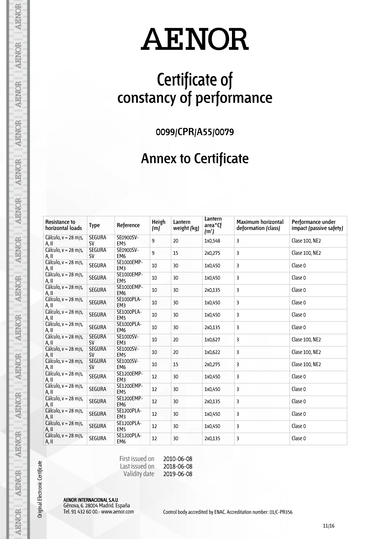## **Certificate of constancy of performance**

**0099/CPR/A55/0079**

#### **Annex to Certificate**

| <b>Resistance to</b><br>horizontal loads | <b>Type</b>                | Reference                     | Heigh<br>(m) | Lantern<br>weight (kg) | Lantern<br>area <sup>*</sup> Cf<br>(m <sup>2</sup> ) | <b>Maximum horizontal</b><br>deformation (class) | Performance under<br>impact (passive safety) |
|------------------------------------------|----------------------------|-------------------------------|--------------|------------------------|------------------------------------------------------|--------------------------------------------------|----------------------------------------------|
| Cálculo, $v = 28$ m/s,<br>A, II          | <b>SEGURA</b><br><b>SV</b> | SE0900SV-<br>EM <sub>5</sub>  | 9            | 20                     | 1x0,548                                              | 3                                                | Clase 100, NE2                               |
| Cálculo, $v = 28$ m/s,<br>A, II          | <b>SEGURA</b><br><b>SV</b> | SE0900SV-<br>EM <sub>6</sub>  | 9            | 15                     | 2x0,275                                              | 3                                                | Clase 100, NE2                               |
| Cálculo, $v = 28$ m/s,<br>A, II          | <b>SEGURA</b>              | SE1000EMP-<br>EM <sub>3</sub> | 10           | 30                     | 1x0,450                                              | 3                                                | Clase 0                                      |
| Cálculo, v = 28 m/s,<br>A, II            | SEGURA                     | SE1000EMP-<br>EM <sub>5</sub> | 10           | 30                     | 1x0,450                                              | 3                                                | Clase 0                                      |
| Cálculo, v = 28 m/s,<br>A, II            | <b>SEGURA</b>              | SE1000EMP-<br>EM <sub>6</sub> | 10           | 30                     | 2x0,135                                              | 3                                                | Clase 0                                      |
| Cálculo, v = 28 m/s,<br>A, II            | <b>SEGURA</b>              | SE1000PLA-<br>EM <sub>3</sub> | 10           | 30                     | 1x0,450                                              | 3                                                | Clase 0                                      |
| Cálculo, v = 28 m/s,<br>A, II            | <b>SEGURA</b>              | SE1000PLA-<br>EM <sub>5</sub> | 10           | 30                     | 1x0,450                                              | 3                                                | Clase 0                                      |
| Cálculo, $v = 28$ m/s,<br>A, II          | <b>SEGURA</b>              | SE1000PLA-<br>EM <sub>6</sub> | 10           | 30                     | 2x0,135                                              | 3                                                | Clase 0                                      |
| Cálculo, $v = 28$ m/s,<br>A, II          | <b>SEGURA</b><br><b>SV</b> | SE1000SV-<br>EM <sub>3</sub>  | 10           | 20                     | 1x0,627                                              | 3                                                | Clase 100, NE2                               |
| Cálculo, $v = 28$ m/s,<br>A, II          | <b>SEGURA</b><br><b>SV</b> | SE1000SV-<br>EM <sub>5</sub>  | 10           | 20                     | 1x0,622                                              | 3                                                | Clase 100, NE2                               |
| Cálculo, $v = 28$ m/s,<br>A, II          | <b>SEGURA</b><br><b>SV</b> | SE1000SV-<br>EM <sub>6</sub>  | 10           | 15                     | 2x0,275                                              | 3                                                | Clase 100, NE2                               |
| Cálculo, $v = 28$ m/s,<br>A, II          | <b>SEGURA</b>              | SE1200EMP-<br>EM3             | 12           | 30                     | 1x0,450                                              | 3                                                | Clase 0                                      |
| Cálculo, $v = 28$ m/s,<br>A, II          | <b>SEGURA</b>              | SE1200EMP-<br>EM <sub>5</sub> | 12           | 30                     | 1x0,450                                              | 3                                                | Clase 0                                      |
| Cálculo, $v = 28$ m/s,<br>A, II          | <b>SEGURA</b>              | SE1200EMP-<br>EM <sub>6</sub> | 12           | 30                     | 2x0,135                                              | 3                                                | Clase 0                                      |
| Cálculo, $v = 28$ m/s,<br>A, II          | <b>SEGURA</b>              | SE1200PLA-<br>EM <sub>3</sub> | 12           | 30                     | 1x0,450                                              | 3                                                | Clase 0                                      |
| Cálculo, v = 28 m/s,<br>A, II            | <b>SEGURA</b>              | SE1200PLA-<br>EM <sub>5</sub> | 12           | 30                     | 1x0,450                                              | 3                                                | Clase 0                                      |
| Cálculo, $v = 28$ m/s,<br>A, II          | <b>SEGURA</b>              | SE1200PLA-<br>EM <sub>6</sub> | 12           | 30                     | 2x0,135                                              | 3                                                | Clase 0                                      |

First issued on Last issued on Validity date 2010-06-08

2018-06-08 2019-06-08

AENOR INTERNACIONAL S.A.U. Génova, 6. 28004 Madrid. España

Original Electronic Certificate

**AENOR** 

**AENOR** 

AENOR

**AENOR** 

**AENOR** 

**AENOR** 

**AENOR** 

**AENOR** 

**AENOR** 

AENOR

**AENOR** 

AENOR

AENOR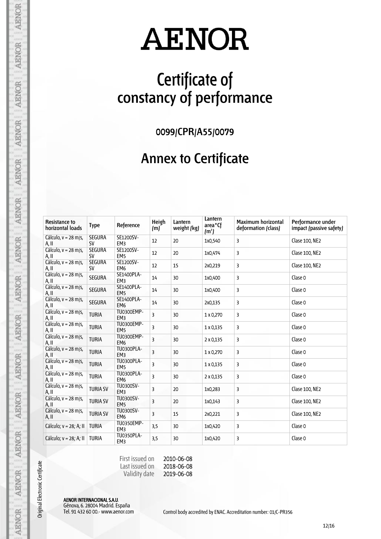## **Certificate of constancy of performance**

**0099/CPR/A55/0079**

#### **Annex to Certificate**

| <b>Resistance to</b><br>horizontal loads | <b>Type</b>                | Reference                            | Heigh<br>(m)            | Lantern<br>weight (kg) | Lantern<br>area <sup>*</sup> Cf<br>(m <sup>2</sup> ) | <b>Maximum horizontal</b><br>deformation (class) | Performance under<br>impact (passive safety) |
|------------------------------------------|----------------------------|--------------------------------------|-------------------------|------------------------|------------------------------------------------------|--------------------------------------------------|----------------------------------------------|
| Cálculo, $v = 28$ m/s,<br>A, II          | <b>SEGURA</b><br><b>SV</b> | SE1200SV-<br>EM <sub>3</sub>         | 12                      | 20                     | 1x0,540                                              | 3                                                | Clase 100, NE2                               |
| Cálculo, $v = 28$ m/s,<br>A, II          | <b>SEGURA</b><br><b>SV</b> | SE1200SV-<br>EM <sub>5</sub>         | 12                      | 20                     | 1x0,474                                              | 3                                                | Clase 100, NE2                               |
| Cálculo, $v = 28$ m/s,<br>A, II          | <b>SEGURA</b><br><b>SV</b> | SE1200SV-<br>EM <sub>6</sub>         | 12                      | 15                     | 2x0,219                                              | 3                                                | Clase 100, NE2                               |
| Cálculo, $v = 28$ m/s,<br>A, II          | <b>SEGURA</b>              | SE1400PLA-<br>EM3                    | 14                      | 30                     | 1x0,400                                              | 3                                                | Clase 0                                      |
| Cálculo, $v = 28$ m/s,<br>A, II          | <b>SEGURA</b>              | SE1400PLA-<br>EM <sub>5</sub>        | 14                      | 30                     | 1x0,400                                              | 3                                                | Clase 0                                      |
| Cálculo, $v = 28$ m/s,<br>A, II          | <b>SEGURA</b>              | SE1400PLA-<br>EM <sub>6</sub>        | 14                      | 30                     | 2x0,135                                              | 3                                                | Clase 0                                      |
| Cálculo, v = 28 m/s,<br>A, II            | <b>TURIA</b>               | TU0300EMP-<br>EM <sub>3</sub>        | 3                       | 30                     | 1 x 0,270                                            | 3                                                | Clase 0                                      |
| Cálculo, v = 28 m/s,<br>A, II            | <b>TURIA</b>               | TU0300EMP-<br>EM <sub>5</sub>        | $\overline{3}$          | 30                     | $1 \times 0.135$                                     | 3                                                | Clase 0                                      |
| Cálculo, v = 28 m/s,<br>A, II            | <b>TURIA</b>               | TU0300EMP-<br>EM <sub>6</sub>        | 3                       | 30                     | $2 \times 0.135$                                     | 3                                                | Clase 0                                      |
| Cálculo, $v = 28$ m/s,<br>A, II          | <b>TURIA</b>               | <b>TU0300PLA-</b><br>EM <sub>3</sub> | 3                       | 30                     | 1 x 0,270                                            | 3                                                | Clase 0                                      |
| Cálculo, v = 28 m/s,<br>A, II            | <b>TURIA</b>               | <b>TU0300PLA-</b><br>EM <sub>5</sub> | $\overline{\mathbf{3}}$ | 30                     | 1 x 0,135                                            | 3                                                | Clase 0                                      |
| Cálculo, $v = 28$ m/s,<br>A, II          | <b>TURIA</b>               | <b>TU0300PLA-</b><br>EM <sub>6</sub> | $\overline{\mathbf{3}}$ | 30                     | $2 \times 0.135$                                     | 3                                                | Clase 0                                      |
| Cálculo, $v = 28$ m/s,<br>A, II          | <b>TURIA SV</b>            | TU0300SV-<br>EM <sub>3</sub>         | $\overline{3}$          | 20                     | 1x0,283                                              | 3                                                | Clase 100, NE2                               |
| Cálculo, $v = 28$ m/s,<br>A, II          | <b>TURIA SV</b>            | TU0300SV-<br>EM <sub>5</sub>         | 3                       | 20                     | 1x0,143                                              | 3                                                | Clase 100, NE2                               |
| Cálculo, $v = 28$ m/s,<br>A, II          | <b>TURIA SV</b>            | TU0300SV-<br>EM <sub>6</sub>         | 3                       | 15                     | 2x0,221                                              | 3                                                | Clase 100, NE2                               |
| Cálculo; v = 28; A; II                   | <b>TURIA</b>               | TU0350EMP-<br>EM <sub>3</sub>        | 3,5                     | 30                     | 1x0,420                                              | 3                                                | Clase 0                                      |
| Cálculo; $v = 28$ ; A; II                | <b>TURIA</b>               | <b>TU0350PLA-</b><br>EM3             | 3,5                     | 30                     | 1x0,420                                              | 3                                                | Clase 0                                      |

First issued on Last issued on Validity date 2010-06-08

2018-06-08 2019-06-08

AENOR INTERNACIONAL S.A.U. Génova, 6. 28004 Madrid. España

Original Electronic Certificate

**AENOR** 

**AENOR** 

AENOR

**AENOR** 

**AENOR** 

**AENOR** 

**AENOR** 

**AENOR** 

**AENOR** 

AENOR

**AENOR** 

AENOR

AENOR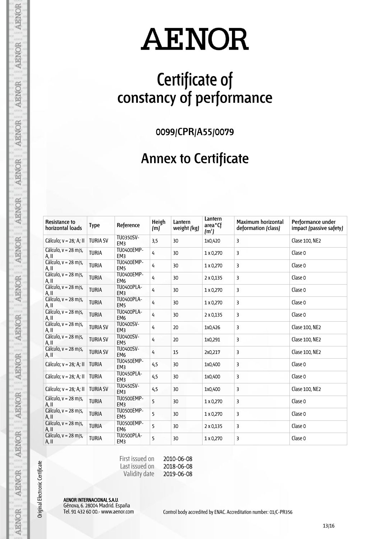## **Certificate of constancy of performance**

**0099/CPR/A55/0079**

#### **Annex to Certificate**

| <b>Resistance to</b><br>horizontal loads | <b>Type</b>     | Reference                            | Heigh<br>(m)   | Lantern<br>weight (kg) | Lantern<br>area <sup>*</sup> Cf<br>(m <sup>2</sup> ) | <b>Maximum horizontal</b><br>deformation (class) | Performance under<br>impact (passive safety) |
|------------------------------------------|-----------------|--------------------------------------|----------------|------------------------|------------------------------------------------------|--------------------------------------------------|----------------------------------------------|
| Cálculo; v = 28; A; II                   | <b>TURIA SV</b> | TU0350SV-<br>EM <sub>3</sub>         | 3,5            | 30                     | 1x0,420                                              | 3                                                | Clase 100, NE2                               |
| Cálculo, $v = 28$ m/s,<br>A, II          | <b>TURIA</b>    | TU0400EMP-<br>EM <sub>3</sub>        | 4              | 30                     | 1 x 0,270                                            | 3                                                | Clase 0                                      |
| Cálculo, v = 28 m/s,<br>A, II            | <b>TURIA</b>    | TU0400EMP-<br>EM <sub>5</sub>        | $\overline{4}$ | 30                     | 1 x 0,270                                            | 3                                                | Clase 0                                      |
| Cálculo, v = 28 m/s,<br>A, II            | <b>TURIA</b>    | TU0400EMP-<br>EM <sub>6</sub>        | 4              | 30                     | $2 \times 0,135$                                     | 3                                                | Clase 0                                      |
| Cálculo, v = 28 m/s,<br>A, II            | <b>TURIA</b>    | TU0400PLA-<br>EM <sub>3</sub>        | 4              | 30                     | 1 x 0,270                                            | 3                                                | Clase 0                                      |
| Cálculo, v = 28 m/s,<br>A, II            | <b>TURIA</b>    | <b>TU0400PLA-</b><br>EM <sub>5</sub> | $\overline{4}$ | 30                     | 1 x 0,270                                            | 3                                                | Clase 0                                      |
| Cálculo, $v = 28$ m/s,<br>A, II          | <b>TURIA</b>    | <b>TU0400PLA-</b><br>EM <sub>6</sub> | 4              | 30                     | 2 x 0,135                                            | 3                                                | Clase 0                                      |
| Cálculo, $v = 28$ m/s,<br>A, II          | <b>TURIA SV</b> | TU0400SV-<br>EM <sub>3</sub>         | 4              | 20                     | 1x0,426                                              | 3                                                | Clase 100, NE2                               |
| Cálculo, $v = 28$ m/s,<br>A, II          | <b>TURIA SV</b> | TU0400SV-<br>EM <sub>5</sub>         | 4              | 20                     | 1x0,291                                              | 3                                                | Clase 100, NE2                               |
| Cálculo, $v = 28$ m/s,<br>A, II          | <b>TURIA SV</b> | <b>TU0400SV-</b><br>EM <sub>6</sub>  | 4              | 15                     | 2x0,217                                              | 3                                                | Clase 100, NE2                               |
| Cálculo; v = 28; A; II                   | <b>TURIA</b>    | <b>TU0450EMP-</b><br>EM <sub>3</sub> | 4,5            | 30                     | 1x0,400                                              | 3                                                | Clase 0                                      |
| Cálculo; v = 28; A; II                   | <b>TURIA</b>    | <b>TU0450PLA-</b><br>EM <sub>3</sub> | 4,5            | 30                     | 1x0,400                                              | 3                                                | Clase 0                                      |
| Cálculo; v = 28; A; II                   | <b>TURIA SV</b> | TU0450SV-<br>EM <sub>3</sub>         | 4,5            | 30                     | 1x0,400                                              | 3                                                | Clase 100, NE2                               |
| Cálculo, $v = 28$ m/s,<br>A, II          | <b>TURIA</b>    | TU0500EMP-<br>EM <sub>3</sub>        | 5              | 30                     | 1 x 0,270                                            | 3                                                | Clase 0                                      |
| Cálculo, $v = 28$ m/s,<br>A, II          | <b>TURIA</b>    | TU0500EMP-<br>EM <sub>5</sub>        | 5              | 30                     | 1 x 0,270                                            | 3                                                | Clase 0                                      |
| Cálculo, v = 28 m/s,<br>A, II            | <b>TURIA</b>    | TU0500EMP-<br>EM <sub>6</sub>        | 5              | 30                     | $2 \times 0,135$                                     | 3                                                | Clase 0                                      |
| Cálculo, $v = 28$ m/s,<br>A, II          | <b>TURIA</b>    | TU0500PLA-<br>EM <sub>3</sub>        | 5              | 30                     | 1 x 0,270                                            | 3                                                | Clase 0                                      |

First issued on Last issued on Validity date 2010-06-08

2018-06-08 2019-06-08

AENOR INTERNACIONAL S.A.U. Génova, 6. 28004 Madrid. España

Original Electronic Certificate

**AENOR** 

**AENOR** 

AENOR

**AENOR** 

**AENOR** 

**AENOR** 

**AENOR** 

**AENOR** 

**AENOR** 

AENOR

**AENOR** 

AENOR

AENOR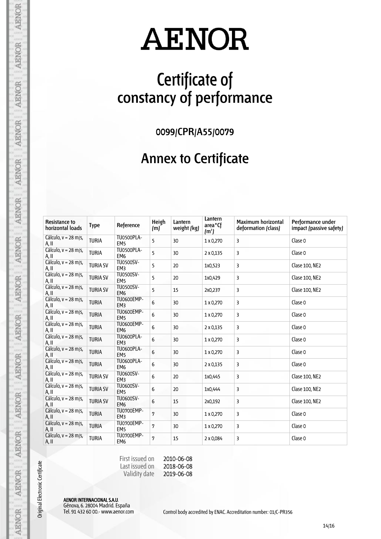## **Certificate of constancy of performance**

**0099/CPR/A55/0079**

#### **Annex to Certificate**

| <b>Resistance to</b><br>horizontal loads | <b>Type</b>     | Reference                            | Heigh<br>(m) | Lantern<br>weight (kg) | Lantern<br>area <sup>*</sup> Cf<br>(m <sup>2</sup> ) | <b>Maximum horizontal</b><br>deformation (class) | Performance under<br>impact (passive safety) |
|------------------------------------------|-----------------|--------------------------------------|--------------|------------------------|------------------------------------------------------|--------------------------------------------------|----------------------------------------------|
| Cálculo, $v = 28$ m/s,<br>A, II          | <b>TURIA</b>    | TU0500PLA-<br>EM <sub>5</sub>        | 5            | 30                     | 1 x 0,270                                            | 3                                                | Clase 0                                      |
| Cálculo, $v = 28$ m/s,<br>A, II          | <b>TURIA</b>    | TU0500PLA-<br>EM <sub>6</sub>        | 5            | 30                     | $2 \times 0,135$                                     | 3                                                | Clase 0                                      |
| Cálculo, v = 28 m/s,<br>A, II            | <b>TURIA SV</b> | <b>TU0500SV-</b><br>EM <sub>3</sub>  | 5            | 20                     | 1x0,523                                              | 3                                                | Clase 100, NE2                               |
| Cálculo, v = 28 m/s,<br>A, II            | <b>TURIA SV</b> | <b>TU0500SV-</b><br>EM <sub>5</sub>  | 5            | 20                     | 1x0,429                                              | 3                                                | Clase 100, NE2                               |
| Cálculo, v = 28 m/s,<br>A, II            | <b>TURIA SV</b> | <b>TU0500SV-</b><br>EM <sub>6</sub>  | 5            | 15                     | 2x0,237                                              | 3                                                | Clase 100, NE2                               |
| Cálculo, v = 28 m/s,<br>A, II            | <b>TURIA</b>    | <b>TU0600EMP-</b><br>EM <sub>3</sub> | 6            | 30                     | 1 x 0,270                                            | 3                                                | Clase 0                                      |
| Cálculo, $v = 28$ m/s,<br>A, II          | <b>TURIA</b>    | <b>TU0600EMP-</b><br>EM <sub>5</sub> | 6            | 30                     | 1 x 0,270                                            | 3                                                | Clase 0                                      |
| Cálculo, v = 28 m/s,<br>A, II            | <b>TURIA</b>    | <b>TU0600EMP-</b><br>EM <sub>6</sub> | 6            | 30                     | 2 x 0,135                                            | 3                                                | Clase 0                                      |
| Cálculo, v = 28 m/s,<br>A, II            | <b>TURIA</b>    | TU0600PLA-<br>EM <sub>3</sub>        | 6            | 30                     | 1 x 0,270                                            | 3                                                | Clase 0                                      |
| Cálculo, $v = 28$ m/s,<br>A, II          | <b>TURIA</b>    | <b>TU0600PLA-</b><br>EM <sub>5</sub> | 6            | 30                     | 1 x 0,270                                            | 3                                                | Clase 0                                      |
| Cálculo, v = 28 m/s,<br>A, II            | <b>TURIA</b>    | <b>TU0600PLA-</b><br>EM <sub>6</sub> | 6            | 30                     | $2 \times 0,135$                                     | 3                                                | Clase 0                                      |
| Cálculo, $v = 28$ m/s,<br>A, II          | <b>TURIA SV</b> | TU0600SV-<br>EM <sub>3</sub>         | 6            | 20                     | 1x0,445                                              | 3                                                | Clase 100, NE2                               |
| Cálculo, $v = 28$ m/s,<br>A, II          | <b>TURIA SV</b> | <b>TU0600SV-</b><br>EM <sub>5</sub>  | 6            | 20                     | 1x0,444                                              | 3                                                | Clase 100, NE2                               |
| Cálculo, $v = 28$ m/s,<br>A, II          | <b>TURIA SV</b> | TU0600SV-<br>EM <sub>6</sub>         | 6            | 15                     | 2x0,192                                              | 3                                                | Clase 100, NE2                               |
| Cálculo, $v = 28$ m/s,<br>A, II          | <b>TURIA</b>    | TU0700EMP-<br>EM <sub>3</sub>        | 7            | 30                     | 1 x 0,270                                            | 3                                                | Clase 0                                      |
| Cálculo, v = 28 m/s,<br>A, II            | <b>TURIA</b>    | TU0700EMP-<br>EM <sub>5</sub>        | 7            | 30                     | 1 x 0,270                                            | 3                                                | Clase 0                                      |
| Cálculo, $v = 28$ m/s,<br>A, II          | <b>TURIA</b>    | TU0700EMP-<br>EM <sub>6</sub>        | 7            | 15                     | 2 x 0,084                                            | 3                                                | Clase 0                                      |

First issued on Last issued on Validity date 2010-06-08

2018-06-08 2019-06-08

AENOR INTERNACIONAL S.A.U. Génova, 6. 28004 Madrid. España

Original Electronic Certificate

**AENOR** 

**AENOR** 

**AENOR** 

**AENOR** 

**AENOR** 

**AENOR** 

**AENOR** 

**AENOR** 

**AENOR** 

AENOR

**AENOR** 

AENOR

AENOR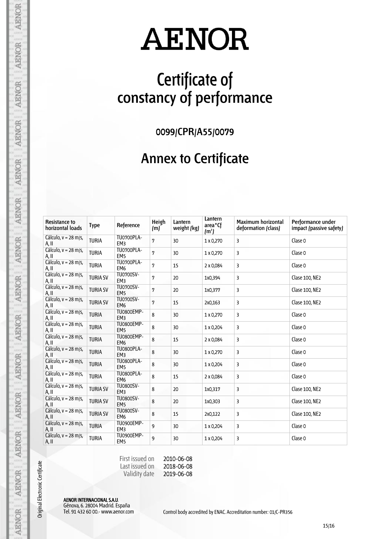## **Certificate of constancy of performance**

**0099/CPR/A55/0079**

#### **Annex to Certificate**

| <b>Resistance to</b><br>horizontal loads | <b>Type</b>     | Reference                            | Heigh<br>(m) | Lantern<br>weight (kg) | Lantern<br>area <sup>*</sup> Cf<br>(m <sup>2</sup> ) | <b>Maximum horizontal</b><br>deformation (class) | Performance under<br>impact (passive safety) |
|------------------------------------------|-----------------|--------------------------------------|--------------|------------------------|------------------------------------------------------|--------------------------------------------------|----------------------------------------------|
| Cálculo, $v = 28$ m/s,<br>A, II          | <b>TURIA</b>    | TU0700PLA-<br>EM <sub>3</sub>        | 7            | 30                     | 1 x 0,270                                            | 3                                                | Clase 0                                      |
| Cálculo, v = 28 m/s,<br>A, II            | <b>TURIA</b>    | TU0700PLA-<br>EM <sub>5</sub>        | 7            | 30                     | 1 x 0,270                                            | 3                                                | Clase 0                                      |
| Cálculo, $v = 28$ m/s,<br>A, II          | <b>TURIA</b>    | TU0700PLA-<br>EM <sub>6</sub>        | 7            | 15                     | 2 x 0,084                                            | 3                                                | Clase 0                                      |
| Cálculo, $v = 28$ m/s,<br>A, II          | <b>TURIA SV</b> | TU0700SV-<br>EM <sub>3</sub>         | 7            | 20                     | 1x0,394                                              | 3                                                | Clase 100, NE2                               |
| Cálculo, $v = 28$ m/s,<br>A, II          | <b>TURIA SV</b> | TU0700SV-<br>EM <sub>5</sub>         | 7            | 20                     | 1x0,377                                              | 3                                                | Clase 100, NE2                               |
| Cálculo, $v = 28$ m/s,<br>A, II          | <b>TURIA SV</b> | TU0700SV-<br>EM <sub>6</sub>         | 7            | 15                     | 2x0,163                                              | 3                                                | Clase 100, NE2                               |
| Cálculo, $v = 28$ m/s,<br>A, II          | <b>TURIA</b>    | <b>TU0800EMP-</b><br>EM <sub>3</sub> | 8            | 30                     | 1 x 0,270                                            | 3                                                | Clase 0                                      |
| Cálculo, $v = 28$ m/s,<br>A, II          | <b>TURIA</b>    | <b>TU0800EMP-</b><br>EM <sub>5</sub> | 8            | 30                     | 1 x 0,204                                            | 3                                                | Clase 0                                      |
| Cálculo, $v = 28$ m/s,<br>A, II          | <b>TURIA</b>    | TU0800EMP-<br>EM <sub>6</sub>        | 8            | 15                     | 2 x 0,084                                            | 3                                                | Clase 0                                      |
| Cálculo, $v = 28$ m/s,<br>A, II          | <b>TURIA</b>    | TU0800PLA-<br>EM <sub>3</sub>        | 8            | 30                     | 1 x 0,270                                            | 3                                                | Clase 0                                      |
| Cálculo, $v = 28$ m/s,<br>A, II          | <b>TURIA</b>    | TU0800PLA-<br>EM <sub>5</sub>        | 8            | 30                     | 1 x 0,204                                            | 3                                                | Clase 0                                      |
| Cálculo, $v = 28$ m/s,<br>A, II          | <b>TURIA</b>    | TU0800PLA-<br>EM <sub>6</sub>        | 8            | 15                     | 2 x 0,084                                            | 3                                                | Clase 0                                      |
| Cálculo, $v = 28$ m/s,<br>A, II          | <b>TURIA SV</b> | TU0800SV-<br>EM <sub>3</sub>         | 8            | 20                     | 1x0,317                                              | 3                                                | Clase 100, NE2                               |
| Cálculo, $v = 28$ m/s,<br>A, II          | <b>TURIA SV</b> | TU0800SV-<br>EM <sub>5</sub>         | 8            | 20                     | 1x0,303                                              | 3                                                | Clase 100, NE2                               |
| Cálculo, $v = 28$ m/s,<br>A, II          | <b>TURIA SV</b> | TU0800SV-<br>EM <sub>6</sub>         | 8            | 15                     | 2x0,122                                              | 3                                                | Clase 100, NE2                               |
| Cálculo, $v = 28$ m/s,<br>A, II          | <b>TURIA</b>    | TU0900EMP-<br>EM <sub>3</sub>        | 9            | 30                     | 1 x 0,204                                            | 3                                                | Clase 0                                      |
| Cálculo, $v = 28$ m/s,<br>A, II          | <b>TURIA</b>    | TU0900EMP-<br>EM <sub>5</sub>        | 9            | 30                     | 1 x 0,204                                            | 3                                                | Clase 0                                      |

First issued on Last issued on Validity date 2010-06-08

2018-06-08 2019-06-08

AENOR INTERNACIONAL S.A.U. Génova, 6. 28004 Madrid. España

Original Electronic Certificate